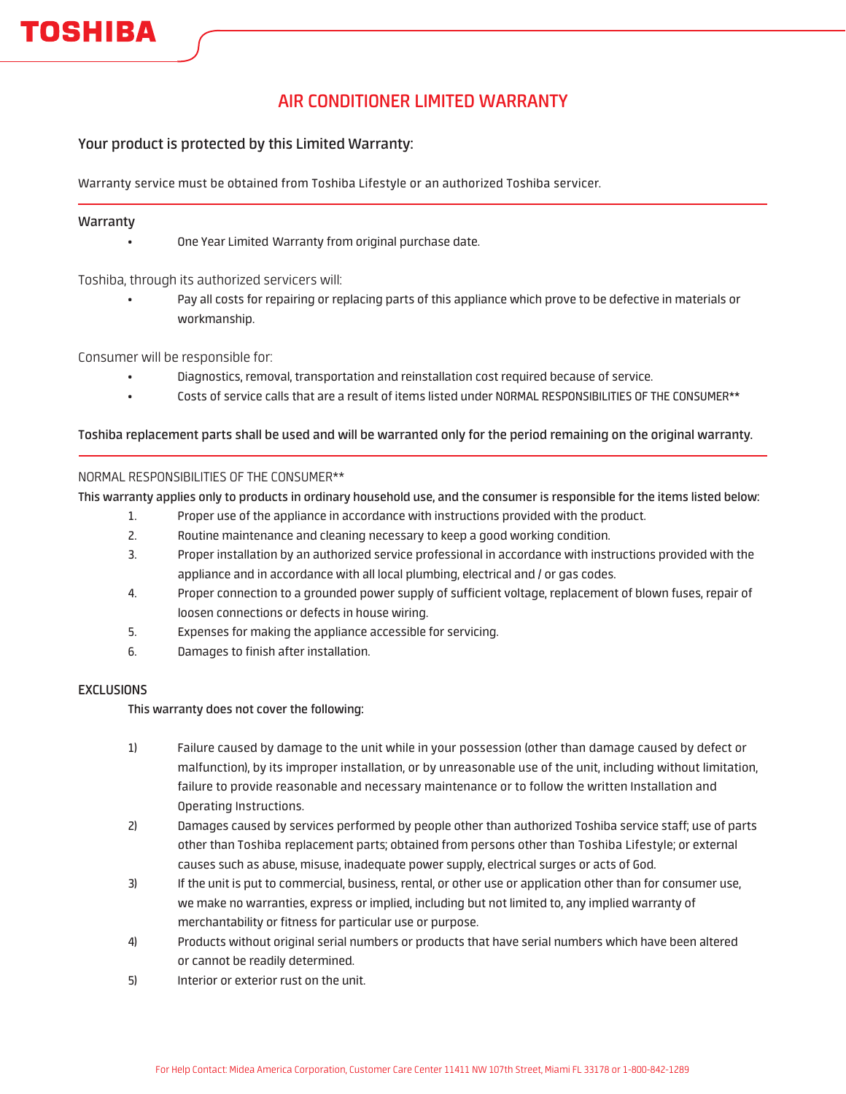# **AIR CONDITIONER LIMITED WARRANTY**

## **Your product is protected by this Limited Warranty:**

Warranty service must be obtained from Toshiba Lifestyle or an authorized Toshiba servicer.

### **Warranty**

• One Year Limited Warranty from original purchase date.

Toshiba, through its authorized servicers will:

• Pay all costs for repairing or replacing parts of this appliance which prove to be defective in materials or workmanship.

Consumer will be responsible for:

- Diagnostics, removal, transportation and reinstallation cost required because of service.
- Costs of service calls that are a result of items listed under NORMAL RESPONSIBILITIES OF THE CONSUMER\*\*

#### **Toshiba replacement parts shall be used and will be warranted only for the period remaining on the original warranty.**

NORMAL RESPONSIBILITIES OF THE CONSUMER\*\*

**This warranty applies only to products in ordinary household use, and the consumer is responsible for the items listed below:**

- 1. Proper use of the appliance in accordance with instructions provided with the product.
- 2. Routine maintenance and cleaning necessary to keep a good working condition.
- 3. Proper installation by an authorized service professional in accordance with instructions provided with the appliance and in accordance with all local plumbing, electrical and / or gas codes.
- 4. Proper connection to a grounded power supply of sufficient voltage, replacement of blown fuses, repair of loosen connections or defects in house wiring.
- 5. Expenses for making the appliance accessible for servicing.
- 6. Damages to finish after installation.

#### **EXCLUSIONS**

**This warranty does not cover the following:**

- 1) Failure caused by damage to the unit while in your possession (other than damage caused by defect or malfunction), by its improper installation, or by unreasonable use of the unit, including without limitation, failure to provide reasonable and necessary maintenance or to follow the written Installation and Operating Instructions.
- 2) Damages caused by services performed by people other than authorized Toshiba service staff; use of parts other than Toshiba replacement parts; obtained from persons other than Toshiba Lifestyle; or external causes such as abuse, misuse, inadequate power supply, electrical surges or acts of God.
- 3) If the unit is put to commercial, business, rental, or other use or application other than for consumer use, we make no warranties, express or implied, including but not limited to, any implied warranty of merchantability or fitness for particular use or purpose.
- 4) Products without original serial numbers or products that have serial numbers which have been altered or cannot be readily determined.
- 5) Interior or exterior rust on the unit.